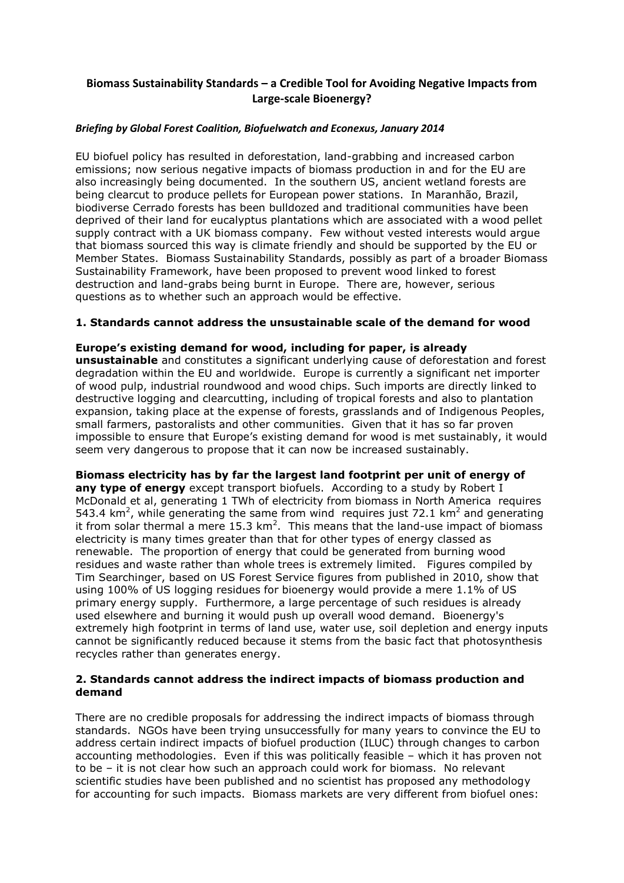## **Biomass Sustainability Standards – a Credible Tool for Avoiding Negative Impacts from Large-scale Bioenergy?**

#### *Briefing by Global Forest Coalition, Biofuelwatch and Econexus, January 2014*

EU biofuel policy has resulted in deforestation, land-grabbing and increased carbon emissions; now serious negative impacts of biomass production in and for the EU are also increasingly being documented. In the southern US, ancient wetland forests are being clearcut to produce pellets for European power stations. In Maranhão, Brazil, biodiverse Cerrado forests has been bulldozed and traditional communities have been deprived of their land for eucalyptus plantations which are associated with a wood pellet supply contract with a UK biomass company. Few without vested interests would argue that biomass sourced this way is climate friendly and should be supported by the EU or Member States. Biomass Sustainability Standards, possibly as part of a broader Biomass Sustainability Framework, have been proposed to prevent wood linked to forest destruction and land-grabs being burnt in Europe. There are, however, serious questions as to whether such an approach would be effective.

## **1. Standards cannot address the unsustainable scale of the demand for wood**

# **Europe's existing demand for wood, including for paper, is already**

**unsustainable** and constitutes a significant underlying cause of deforestation and forest degradation within the EU and worldwide. Europe is currently a significant net importer of wood pulp, industrial roundwood and wood chips. Such imports are directly linked to destructive logging and clearcutting, including of tropical forests and also to plantation expansion, taking place at the expense of forests, grasslands and of Indigenous Peoples, small farmers, pastoralists and other communities. Given that it has so far proven impossible to ensure that Europe's existing demand for wood is met sustainably, it would seem very dangerous to propose that it can now be increased sustainably.

**Biomass electricity has by far the largest land footprint per unit of energy of any type of energy** except transport biofuels. According to a study by Robert I McDonald et al, generating 1 TWh of electricity from biomass in North America requires 543.4  $\text{km}^2$ , while generating the same from wind requires just 72.1  $\text{km}^2$  and generating it from solar thermal a mere 15.3  $km^2$ . This means that the land-use impact of biomass electricity is many times greater than that for other types of energy classed as renewable. The proportion of energy that could be generated from burning wood residues and waste rather than whole trees is extremely limited. Figures compiled by Tim Searchinger, based on US Forest Service figures from published in 2010, show that using 100% of US logging residues for bioenergy would provide a mere 1.1% of US primary energy supply. Furthermore, a large percentage of such residues is already used elsewhere and burning it would push up overall wood demand. Bioenergy's extremely high footprint in terms of land use, water use, soil depletion and energy inputs cannot be significantly reduced because it stems from the basic fact that photosynthesis recycles rather than generates energy.

#### **2. Standards cannot address the indirect impacts of biomass production and demand**

There are no credible proposals for addressing the indirect impacts of biomass through standards. NGOs have been trying unsuccessfully for many years to convince the EU to address certain indirect impacts of biofuel production (ILUC) through changes to carbon accounting methodologies. Even if this was politically feasible – which it has proven not to be – it is not clear how such an approach could work for biomass. No relevant scientific studies have been published and no scientist has proposed any methodology for accounting for such impacts. Biomass markets are very different from biofuel ones: